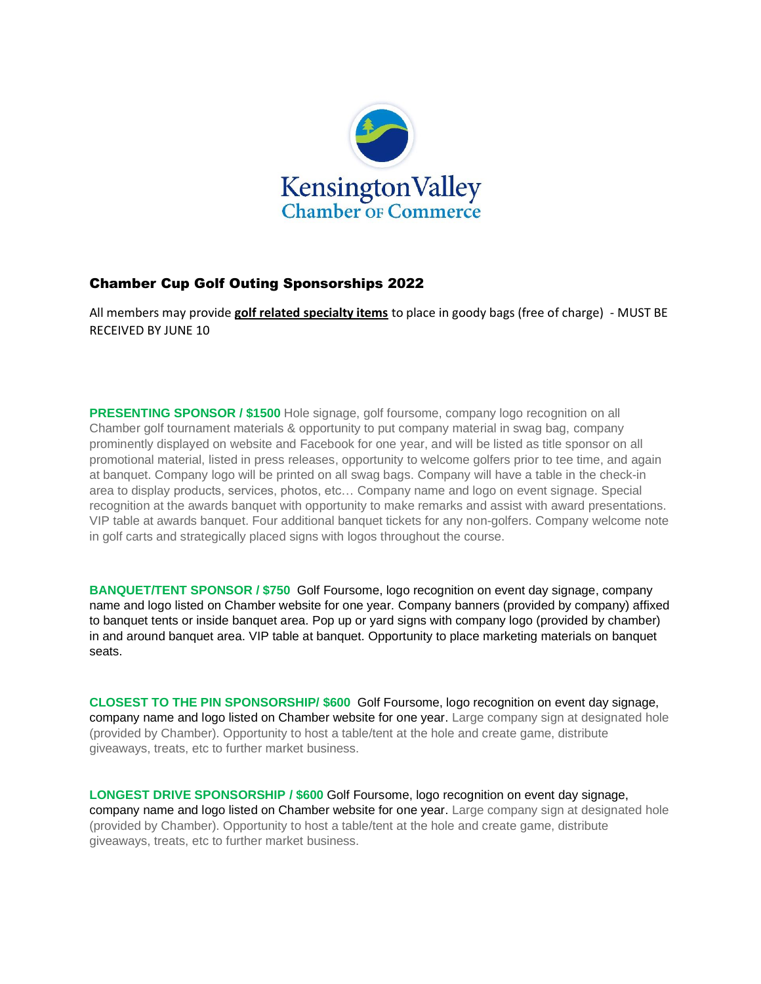

## Chamber Cup Golf Outing Sponsorships 2022

All members may provide **golf related specialty items** to place in goody bags (free of charge) - MUST BE RECEIVED BY JUNE 10

**PRESENTING SPONSOR / \$1500** Hole signage, golf foursome, company logo recognition on all Chamber golf tournament materials & opportunity to put company material in swag bag, company prominently displayed on website and Facebook for one year, and will be listed as title sponsor on all promotional material, listed in press releases, opportunity to welcome golfers prior to tee time, and again at banquet. Company logo will be printed on all swag bags. Company will have a table in the check-in area to display products, services, photos, etc… Company name and logo on event signage. Special recognition at the awards banquet with opportunity to make remarks and assist with award presentations. VIP table at awards banquet. Four additional banquet tickets for any non-golfers. Company welcome note in golf carts and strategically placed signs with logos throughout the course.

**BANQUET/TENT SPONSOR / \$750** Golf Foursome, logo recognition on event day signage, company name and logo listed on Chamber website for one year. Company banners (provided by company) affixed to banquet tents or inside banquet area. Pop up or yard signs with company logo (provided by chamber) in and around banquet area. VIP table at banquet. Opportunity to place marketing materials on banquet seats.

**CLOSEST TO THE PIN SPONSORSHIP/ \$600** Golf Foursome, logo recognition on event day signage, company name and logo listed on Chamber website for one year. Large company sign at designated hole (provided by Chamber). Opportunity to host a table/tent at the hole and create game, distribute giveaways, treats, etc to further market business.

**LONGEST DRIVE SPONSORSHIP / \$600** Golf Foursome, logo recognition on event day signage, company name and logo listed on Chamber website for one year. Large company sign at designated hole (provided by Chamber). Opportunity to host a table/tent at the hole and create game, distribute giveaways, treats, etc to further market business.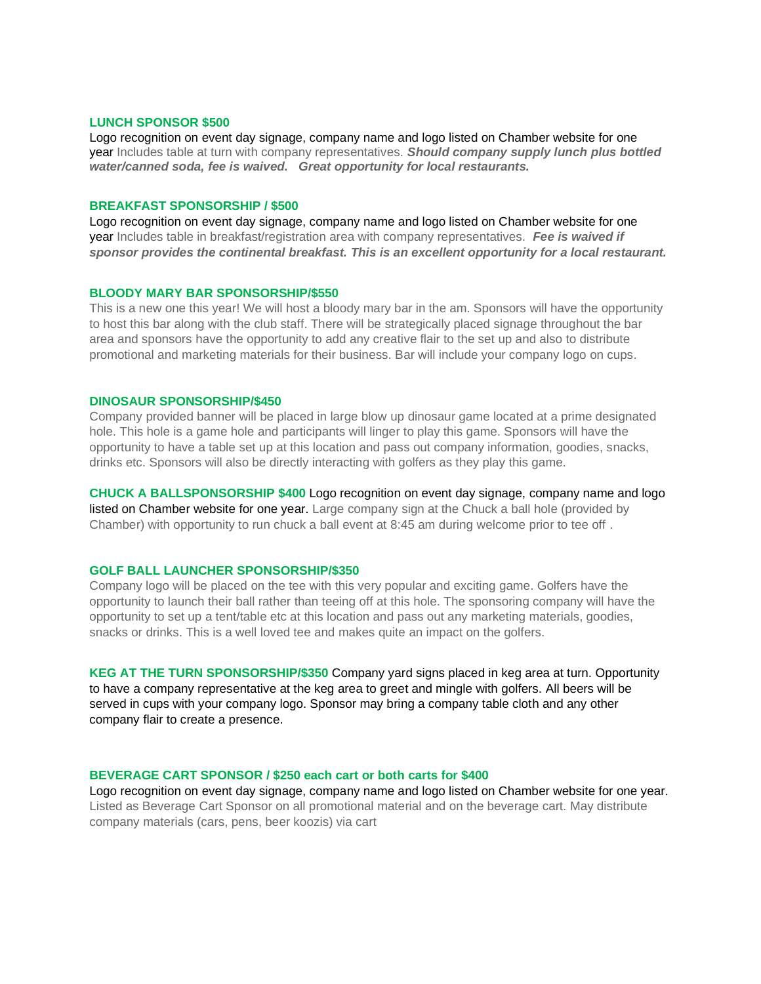### **LUNCH SPONSOR \$500**

Logo recognition on event day signage, company name and logo listed on Chamber website for one year Includes table at turn with company representatives. *Should company supply lunch plus bottled water/canned soda, fee is waived. Great opportunity for local restaurants.* 

#### **BREAKFAST SPONSORSHIP / \$500**

Logo recognition on event day signage, company name and logo listed on Chamber website for one year Includes table in breakfast/registration area with company representatives. *Fee is waived if sponsor provides the continental breakfast. This is an excellent opportunity for a local restaurant.* 

#### **BLOODY MARY BAR SPONSORSHIP/\$550**

This is a new one this year! We will host a bloody mary bar in the am. Sponsors will have the opportunity to host this bar along with the club staff. There will be strategically placed signage throughout the bar area and sponsors have the opportunity to add any creative flair to the set up and also to distribute promotional and marketing materials for their business. Bar will include your company logo on cups.

#### **DINOSAUR SPONSORSHIP/\$450**

Company provided banner will be placed in large blow up dinosaur game located at a prime designated hole. This hole is a game hole and participants will linger to play this game. Sponsors will have the opportunity to have a table set up at this location and pass out company information, goodies, snacks, drinks etc. Sponsors will also be directly interacting with golfers as they play this game.

**CHUCK A BALLSPONSORSHIP \$400** Logo recognition on event day signage, company name and logo listed on Chamber website for one year. Large company sign at the Chuck a ball hole (provided by Chamber) with opportunity to run chuck a ball event at 8:45 am during welcome prior to tee off .

#### **GOLF BALL LAUNCHER SPONSORSHIP/\$350**

Company logo will be placed on the tee with this very popular and exciting game. Golfers have the opportunity to launch their ball rather than teeing off at this hole. The sponsoring company will have the opportunity to set up a tent/table etc at this location and pass out any marketing materials, goodies, snacks or drinks. This is a well loved tee and makes quite an impact on the golfers.

**KEG AT THE TURN SPONSORSHIP/\$350** Company yard signs placed in keg area at turn. Opportunity to have a company representative at the keg area to greet and mingle with golfers. All beers will be served in cups with your company logo. Sponsor may bring a company table cloth and any other company flair to create a presence.

### **BEVERAGE CART SPONSOR / \$250 each cart or both carts for \$400**

Logo recognition on event day signage, company name and logo listed on Chamber website for one year. Listed as Beverage Cart Sponsor on all promotional material and on the beverage cart. May distribute company materials (cars, pens, beer koozis) via cart